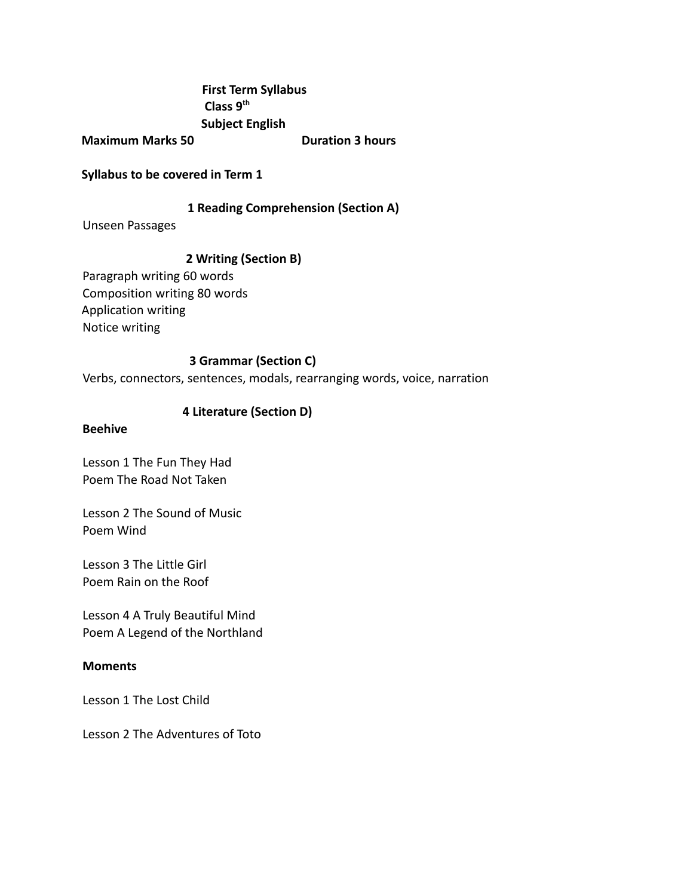## **First Term Syllabus Class 9th Subject English**

**Maximum Marks 50 Duration 3 hours** 

**Syllabus to be covered in Term 1**

## **1 Reading Comprehension (Section A)**

Unseen Passages

## **2 Writing (Section B)**

Paragraph writing 60 words Composition writing 80 words Application writing Notice writing

### **3 Grammar (Section C)**

Verbs, connectors, sentences, modals, rearranging words, voice, narration

## **4 Literature (Section D)**

### **Beehive**

Lesson 1 The Fun They Had Poem The Road Not Taken

Lesson 2 The Sound of Music Poem Wind

Lesson 3 The Little Girl Poem Rain on the Roof

Lesson 4 A Truly Beautiful Mind Poem A Legend of the Northland

### **Moments**

Lesson 1 The Lost Child

Lesson 2 The Adventures of Toto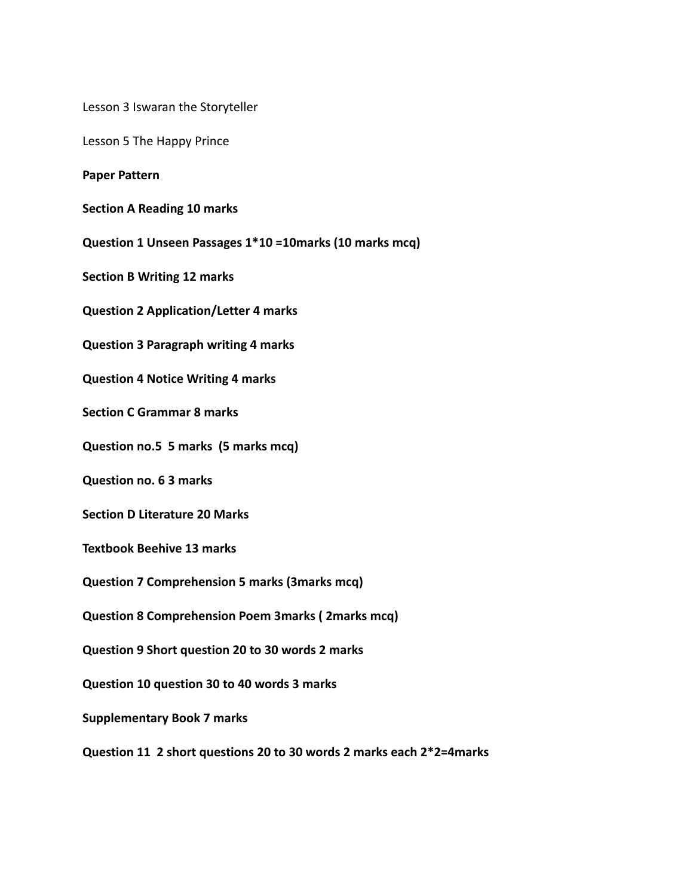Lesson 3 Iswaran the Storyteller

Lesson 5 The Happy Prince

**Paper Pattern**

**Section A Reading 10 marks**

**Question 1 Unseen Passages 1\*10 =10marks (10 marks mcq)**

**Section B Writing 12 marks**

**Question 2 Application/Letter 4 marks**

**Question 3 Paragraph writing 4 marks**

**Question 4 Notice Writing 4 marks**

**Section C Grammar 8 marks**

**Question no.5 5 marks (5 marks mcq)**

**Question no. 6 3 marks**

**Section D Literature 20 Marks**

**Textbook Beehive 13 marks**

**Question 7 Comprehension 5 marks (3marks mcq)**

**Question 8 Comprehension Poem 3marks ( 2marks mcq)**

**Question 9 Short question 20 to 30 words 2 marks**

**Question 10 question 30 to 40 words 3 marks**

**Supplementary Book 7 marks**

**Question 11 2 short questions 20 to 30 words 2 marks each 2\*2=4marks**